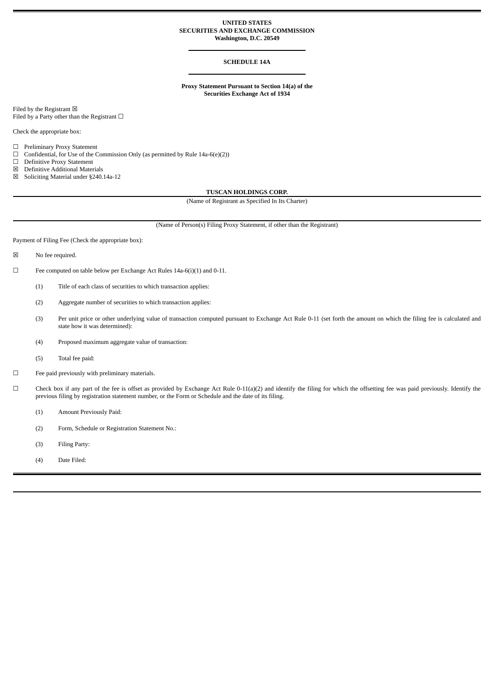## **UNITED STATES SECURITIES AND EXCHANGE COMMISSION Washington, D.C. 20549**

# **SCHEDULE 14A**

### **Proxy Statement Pursuant to Section 14(a) of the Securities Exchange Act of 1934**

Filed by the Registrant  $\boxtimes$ Filed by a Party other than the Registrant  $□$ 

Check the appropriate box:

- ☐ Preliminary Proxy Statement
- $\Box$  Confidential, for Use of the Commission Only (as permitted by Rule 14a-6(e)(2))  $\Box$  Definitive Proxy Statement
- $\Box$  Definitive Proxy Statement<br>  $\boxtimes$  Definitive Additional Mater
- $\boxtimes$  Definitive Additional Materials<br>  $\boxtimes$  Soliciting Material under §240.
- ☒ Soliciting Material under §240.14a-12

# **TUSCAN HOLDINGS CORP.**

(Name of Registrant as Specified In Its Charter)

(Name of Person(s) Filing Proxy Statement, if other than the Registrant)

Payment of Filing Fee (Check the appropriate box):

- ☒ No fee required.
- $\Box$  Fee computed on table below per Exchange Act Rules 14a-6(i)(1) and 0-11.
	- (1) Title of each class of securities to which transaction applies:
	- (2) Aggregate number of securities to which transaction applies:
	- (3) Per unit price or other underlying value of transaction computed pursuant to Exchange Act Rule 0-11 (set forth the amount on which the filing fee is calculated and state how it was determined):
	- (4) Proposed maximum aggregate value of transaction:
	- (5) Total fee paid:
- $\Box$  Fee paid previously with preliminary materials.
- ☐ Check box if any part of the fee is offset as provided by Exchange Act Rule 0-11(a)(2) and identify the filing for which the offsetting fee was paid previously. Identify the previous filing by registration statement number, or the Form or Schedule and the date of its filing.
	- (1) Amount Previously Paid:
	- (2) Form, Schedule or Registration Statement No.:
	- (3) Filing Party:
	- (4) Date Filed: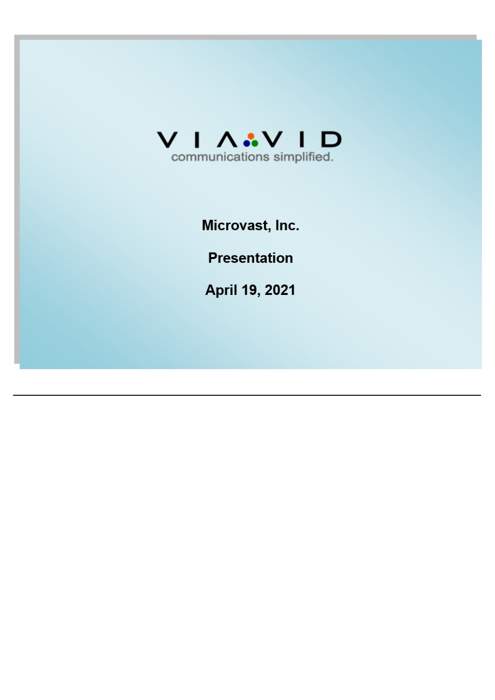

Microvast, Inc.

**Presentation** 

April 19, 2021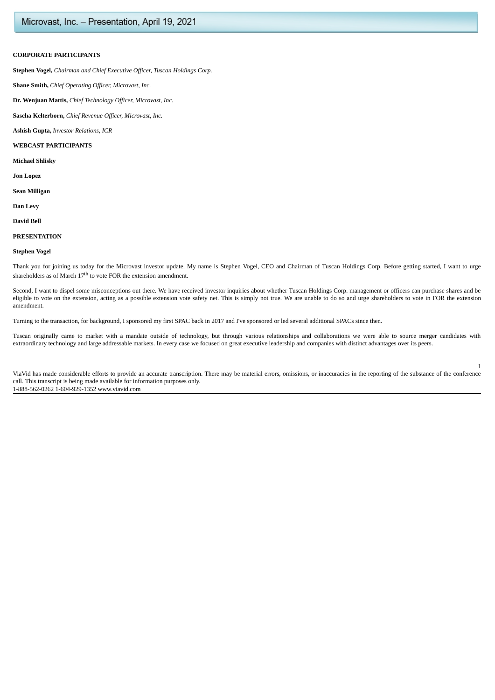### **CORPORATE PARTICIPANTS**

**Stephen Vogel,** *Chairman and Chief Executive Officer, Tuscan Holdings Corp.*

**Shane Smith,** *Chief Operating Officer, Microvast, Inc.*

**Dr. Wenjuan Mattis,** *Chief Technology Officer, Microvast, Inc.*

**Sascha Kelterborn,** *Chief Revenue Officer, Microvast, Inc.*

**Ashish Gupta,** *Investor Relations, ICR*

# **WEBCAST PARTICIPANTS**

**Michael Shlisky**

**Jon Lopez**

**Sean Milligan**

**Dan Levy**

**David Bell**

# **PRESENTATION**

### **Stephen Vogel**

Thank you for joining us today for the Microvast investor update. My name is Stephen Vogel, CEO and Chairman of Tuscan Holdings Corp. Before getting started, I want to urge shareholders as of March  $17^{\text{th}}$  to vote FOR the extension amendment.

Second, I want to dispel some misconceptions out there. We have received investor inquiries about whether Tuscan Holdings Corp. management or officers can purchase shares and be eligible to vote on the extension, acting as a possible extension vote safety net. This is simply not true. We are unable to do so and urge shareholders to vote in FOR the extension amendment.

Turning to the transaction, for background, I sponsored my first SPAC back in 2017 and I've sponsored or led several additional SPACs since then.

Tuscan originally came to market with a mandate outside of technology, but through various relationships and collaborations we were able to source merger candidates with extraordinary technology and large addressable markets. In every case we focused on great executive leadership and companies with distinct advantages over its peers.

ViaVid has made considerable efforts to provide an accurate transcription. There may be material errors, omissions, or inaccuracies in the reporting of the substance of the conference call. This transcript is being made available for information purposes only. 1-888-562-0262 1-604-929-1352 www.viavid.com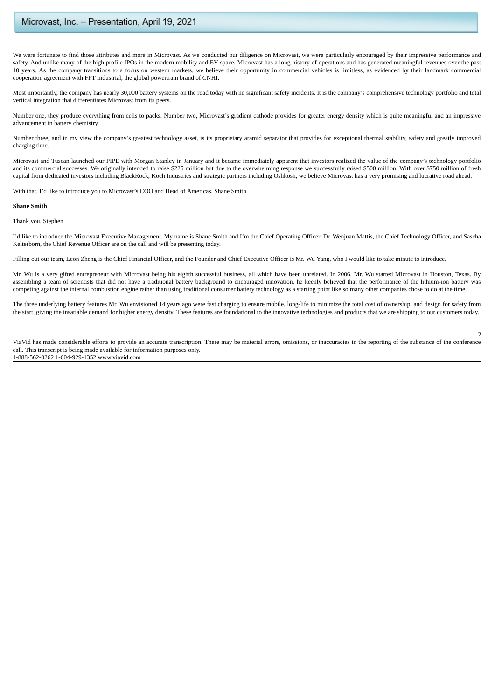We were fortunate to find those attributes and more in Microvast. As we conducted our diligence on Microvast, we were particularly encouraged by their impressive performance and safety. And unlike many of the high profile IPOs in the modern mobility and EV space, Microvast has a long history of operations and has generated meaningful revenues over the past 10 years. As the company transitions to a focus on western markets, we believe their opportunity in commercial vehicles is limitless, as evidenced by their landmark commercial cooperation agreement with FPT Industrial, the global powertrain brand of CNHI.

Most importantly, the company has nearly 30,000 battery systems on the road today with no significant safety incidents. It is the company's comprehensive technology portfolio and total vertical integration that differentiates Microvast from its peers.

Number one, they produce everything from cells to packs. Number two, Microvast's gradient cathode provides for greater energy density which is quite meaningful and an impressive advancement in battery chemistry.

Number three, and in my view the company's greatest technology asset, is its proprietary aramid separator that provides for exceptional thermal stability, safety and greatly improved charging time.

Microvast and Tuscan launched our PIPE with Morgan Stanley in January and it became immediately apparent that investors realized the value of the company's technology portfolio and its commercial successes. We originally intended to raise \$225 million but due to the overwhelming response we successfully raised \$500 million. With over \$750 million of fresh capital from dedicated investors including BlackRock, Koch Industries and strategic partners including Oshkosh, we believe Microvast has a very promising and lucrative road ahead.

With that, I'd like to introduce you to Microvast's COO and Head of Americas, Shane Smith.

### **Shane Smith**

Thank you, Stephen.

I'd like to introduce the Microvast Executive Management. My name is Shane Smith and I'm the Chief Operating Officer. Dr. Wenjuan Mattis, the Chief Technology Officer, and Sascha Kelterborn, the Chief Revenue Officer are on the call and will be presenting today.

Filling out our team, Leon Zheng is the Chief Financial Officer, and the Founder and Chief Executive Officer is Mr. Wu Yang, who I would like to take minute to introduce.

Mr. Wu is a very gifted entrepreneur with Microvast being his eighth successful business, all which have been unrelated. In 2006, Mr. Wu started Microvast in Houston, Texas. By assembling a team of scientists that did not have a traditional battery background to encouraged innovation, he keenly believed that the performance of the lithium-ion battery was competing against the internal combustion engine rather than using traditional consumer battery technology as a starting point like so many other companies chose to do at the time.

The three underlying battery features Mr. Wu envisioned 14 years ago were fast charging to ensure mobile, long-life to minimize the total cost of ownership, and design for safety from the start, giving the insatiable demand for higher energy density. These features are foundational to the innovative technologies and products that we are shipping to our customers today.

ViaVid has made considerable efforts to provide an accurate transcription. There may be material errors, omissions, or inaccuracies in the reporting of the substance of the conference call. This transcript is being made available for information purposes only. 1-888-562-0262 1-604-929-1352 www.viavid.com

 $\overline{2}$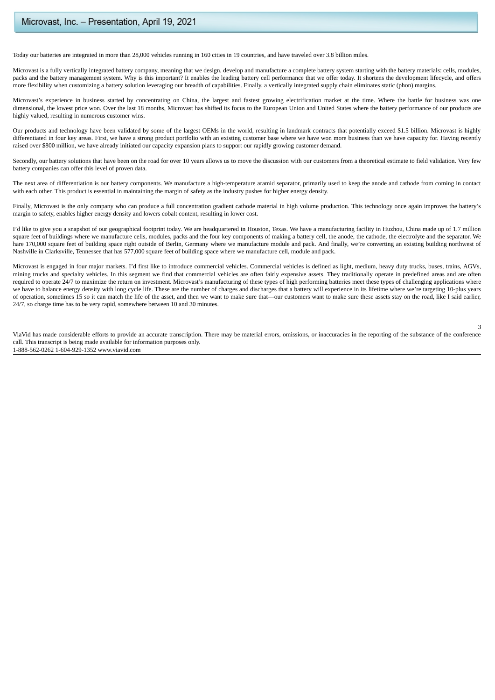Today our batteries are integrated in more than 28,000 vehicles running in 160 cities in 19 countries, and have traveled over 3.8 billion miles.

Microvast is a fully vertically integrated battery company, meaning that we design, develop and manufacture a complete battery system starting with the battery materials: cells, modules, packs and the battery management system. Why is this important? It enables the leading battery cell performance that we offer today. It shortens the development lifecycle, and offers more flexibility when customizing a battery solution leveraging our breadth of capabilities. Finally, a vertically integrated supply chain eliminates static (phon) margins.

Microvast's experience in business started by concentrating on China, the largest and fastest growing electrification market at the time. Where the battle for business was one dimensional, the lowest price won. Over the last 18 months, Microvast has shifted its focus to the European Union and United States where the battery performance of our products are highly valued, resulting in numerous customer wins.

Our products and technology have been validated by some of the largest OEMs in the world, resulting in landmark contracts that potentially exceed \$1.5 billion. Microvast is highly differentiated in four key areas. First, we have a strong product portfolio with an existing customer base where we have won more business than we have capacity for. Having recently raised over \$800 million, we have already initiated our capacity expansion plans to support our rapidly growing customer demand.

Secondly, our battery solutions that have been on the road for over 10 years allows us to move the discussion with our customers from a theoretical estimate to field validation. Very few battery companies can offer this level of proven data.

The next area of differentiation is our battery components. We manufacture a high-temperature aramid separator, primarily used to keep the anode and cathode from coming in contact with each other. This product is essential in maintaining the margin of safety as the industry pushes for higher energy density.

Finally, Microvast is the only company who can produce a full concentration gradient cathode material in high volume production. This technology once again improves the battery's margin to safety, enables higher energy density and lowers cobalt content, resulting in lower cost.

I'd like to give you a snapshot of our geographical footprint today. We are headquartered in Houston, Texas. We have a manufacturing facility in Huzhou, China made up of 1.7 million square feet of buildings where we manufacture cells, modules, packs and the four key components of making a battery cell, the anode, the cathode, the electrolyte and the separator. We hare 170,000 square feet of building space right outside of Berlin, Germany where we manufacture module and pack. And finally, we're converting an existing building northwest of Nashville in Clarksville, Tennessee that has 577,000 square feet of building space where we manufacture cell, module and pack.

Microvast is engaged in four major markets. I'd first like to introduce commercial vehicles. Commercial vehicles is defined as light, medium, heavy duty trucks, buses, trains, AGVs, mining trucks and specialty vehicles. In this segment we find that commercial vehicles are often fairly expensive assets. They traditionally operate in predefined areas and are often required to operate 24/7 to maximize the return on investment. Microvast's manufacturing of these types of high performing batteries meet these types of challenging applications where we have to balance energy density with long cycle life. These are the number of charges and discharges that a battery will experience in its lifetime where we're targeting 10-plus years of operation, sometimes 15 so it can match the life of the asset, and then we want to make sure that—our customers want to make sure these assets stay on the road, like I said earlier, 24/7, so charge time has to be very rapid, somewhere between 10 and 30 minutes.

3

ViaVid has made considerable efforts to provide an accurate transcription. There may be material errors, omissions, or inaccuracies in the reporting of the substance of the conference call. This transcript is being made available for information purposes only. 1-888-562-0262 1-604-929-1352 www.viavid.com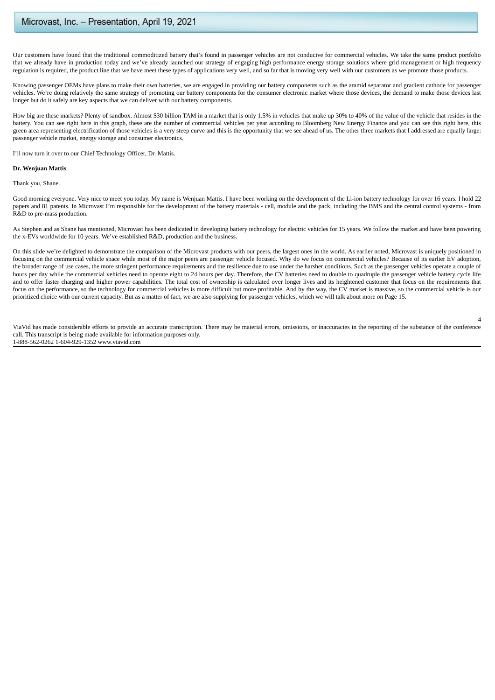Our customers have found that the traditional commoditized battery that's found in passenger vehicles are not conducive for commercial vehicles. We take the same product portfolio that we already have in production today and we've already launched our strategy of engaging high performance energy storage solutions where grid management or high frequency regulation is required, the product line that we have meet these types of applications very well, and so far that is moving very well with our customers as we promote those products.

Knowing passenger OEMs have plans to make their own batteries, we are engaged in providing our battery components such as the aramid separator and gradient cathode for passenger vehicles. We're doing relatively the same strategy of promoting our battery components for the consumer electronic market where those devices, the demand to make those devices last longer but do it safely are key aspects that we can deliver with our battery components.

How big are these markets? Plenty of sandbox. Almost \$30 billion TAM in a market that is only 1.5% in vehicles that make up 30% to 40% of the value of the vehicle that resides in the battery. You can see right here in this graph, these are the number of commercial vehicles per year according to Bloomberg New Energy Finance and you can see this right here, this green area representing electrification of those vehicles is a very steep curve and this is the opportunity that we see ahead of us. The other three markets that I addressed are equally large: passenger vehicle market, energy storage and consumer electronics.

I'll now turn it over to our Chief Technology Officer, Dr. Mattis.

#### **Dr. Wenjuan Mattis**

Thank you, Shane.

Good morning everyone. Very nice to meet you today. My name is Wenjuan Mattis. I have been working on the development of the Li-ion battery technology for over 16 years. I hold 22 papers and 81 patents. In Microvast I'm responsible for the development of the battery materials - cell, module and the pack, including the BMS and the central control systems - from R&D to pre-mass production.

As Stephen and as Shane has mentioned, Microvast has been dedicated in developing battery technology for electric vehicles for 15 years. We follow the market and have been powering the x-EVs worldwide for 10 years. We've established R&D, production and the business.

On this slide we're delighted to demonstrate the comparison of the Microvast products with our peers, the largest ones in the world. As earlier noted, Microvast is uniquely positioned in focusing on the commercial vehicle space while most of the major peers are passenger vehicle focused. Why do we focus on commercial vehicles? Because of its earlier EV adoption, the broader range of use cases, the more stringent performance requirements and the resilience due to use under the harsher conditions. Such as the passenger vehicles operate a couple of hours per day while the commercial vehicles need to operate eight to 24 hours per day. Therefore, the CV batteries need to double to quadruple the passenger vehicle battery cycle life and to offer faster charging and higher power capabilities. The total cost of ownership is calculated over longer lives and its heightened customer that focus on the requirements that focus on the performance, so the technology for commercial vehicles is more difficult but more profitable. And by the way, the CV market is massive, so the commercial vehicle is our prioritized choice with our current capacity. But as a matter of fact, we are also supplying for passenger vehicles, which we will talk about more on Page 15.

ViaVid has made considerable efforts to provide an accurate transcription. There may be material errors, omissions, or inaccuracies in the reporting of the substance of the conference call. This transcript is being made available for information purposes only. 1-888-562-0262 1-604-929-1352 www.viavid.com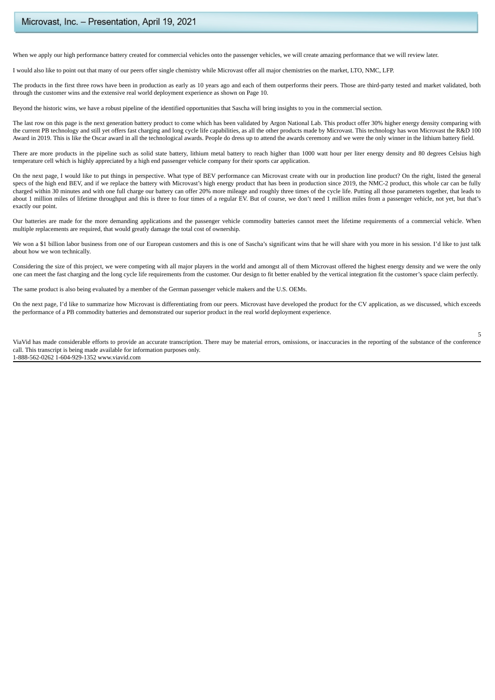When we apply our high performance battery created for commercial vehicles onto the passenger vehicles, we will create amazing performance that we will review later.

I would also like to point out that many of our peers offer single chemistry while Microvast offer all major chemistries on the market, LTO, NMC, LFP.

The products in the first three rows have been in production as early as 10 years ago and each of them outperforms their peers. Those are third-party tested and market validated, both through the customer wins and the extensive real world deployment experience as shown on Page 10.

Beyond the historic wins, we have a robust pipeline of the identified opportunities that Sascha will bring insights to you in the commercial section.

The last row on this page is the next generation battery product to come which has been validated by Argon National Lab. This product offer 30% higher energy density comparing with the current PB technology and still yet offers fast charging and long cycle life capabilities, as all the other products made by Microvast. This technology has won Microvast the R&D 100 Award in 2019. This is like the Oscar award in all the technological awards. People do dress up to attend the awards ceremony and we were the only winner in the lithium battery field.

There are more products in the pipeline such as solid state battery, lithium metal battery to reach higher than 1000 watt hour per liter energy density and 80 degrees Celsius high temperature cell which is highly appreciated by a high end passenger vehicle company for their sports car application.

On the next page, I would like to put things in perspective. What type of BEV performance can Microvast create with our in production line product? On the right, listed the general specs of the high end BEV, and if we replace the battery with Microvast's high energy product that has been in production since 2019, the NMC-2 product, this whole car can be fully charged within 30 minutes and with one full charge our battery can offer 20% more mileage and roughly three times of the cycle life. Putting all those parameters together, that leads to about 1 million miles of lifetime throughput and this is three to four times of a regular EV. But of course, we don't need 1 million miles from a passenger vehicle, not yet, but that's exactly our point.

Our batteries are made for the more demanding applications and the passenger vehicle commodity batteries cannot meet the lifetime requirements of a commercial vehicle. When multiple replacements are required, that would greatly damage the total cost of ownership.

We won a \$1 billion labor business from one of our European customers and this is one of Sascha's significant wins that he will share with you more in his session. I'd like to just talk about how we won technically.

Considering the size of this project, we were competing with all major players in the world and amongst all of them Microvast offered the highest energy density and we were the only one can meet the fast charging and the long cycle life requirements from the customer. Our design to fit better enabled by the vertical integration fit the customer's space claim perfectly.

The same product is also being evaluated by a member of the German passenger vehicle makers and the U.S. OEMs.

On the next page, I'd like to summarize how Microvast is differentiating from our peers. Microvast have developed the product for the CV application, as we discussed, which exceeds the performance of a PB commodity batteries and demonstrated our superior product in the real world deployment experience.

ViaVid has made considerable efforts to provide an accurate transcription. There may be material errors, omissions, or inaccuracies in the reporting of the substance of the conference call. This transcript is being made available for information purposes only. 1-888-562-0262 1-604-929-1352 www.viavid.com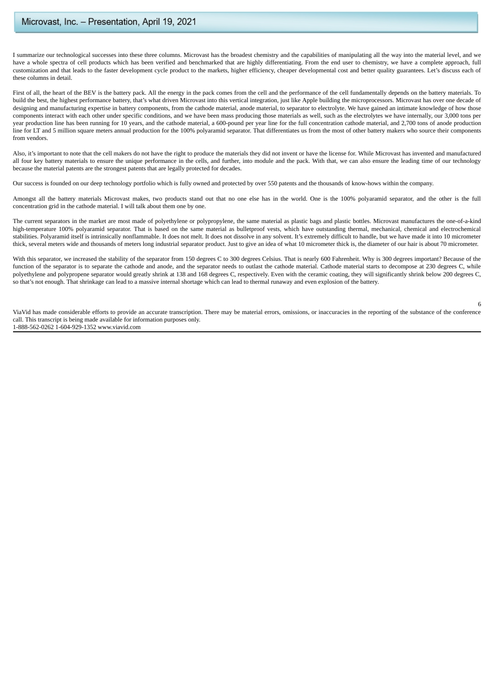I summarize our technological successes into these three columns. Microvast has the broadest chemistry and the capabilities of manipulating all the way into the material level, and we have a whole spectra of cell products which has been verified and benchmarked that are highly differentiating. From the end user to chemistry, we have a complete approach, full customization and that leads to the faster development cycle product to the markets, higher efficiency, cheaper developmental cost and better quality guarantees. Let's discuss each of these columns in detail.

First of all, the heart of the BEV is the battery pack. All the energy in the pack comes from the cell and the performance of the cell fundamentally depends on the battery materials. To build the best, the highest performance battery, that's what driven Microvast into this vertical integration, just like Apple building the microprocessors. Microvast has over one decade of designing and manufacturing expertise in battery components, from the cathode material, anode material, to separator to electrolyte. We have gained an intimate knowledge of how those components interact with each other under specific conditions, and we have been mass producing those materials as well, such as the electrolytes we have internally, our 3,000 tons per year production line has been running for 10 years, and the cathode material, a 600-pound per year line for the full concentration cathode material, and 2,700 tons of anode production line for LT and 5 million square meters annual production for the 100% polyaramid separator. That differentiates us from the most of other battery makers who source their components from vendors.

Also, it's important to note that the cell makers do not have the right to produce the materials they did not invent or have the license for. While Microvast has invented and manufactured all four key battery materials to ensure the unique performance in the cells, and further, into module and the pack. With that, we can also ensure the leading time of our technology because the material patents are the strongest patents that are legally protected for decades.

Our success is founded on our deep technology portfolio which is fully owned and protected by over 550 patents and the thousands of know-hows within the company.

Amongst all the battery materials Microvast makes, two products stand out that no one else has in the world. One is the 100% polyaramid separator, and the other is the full concentration grid in the cathode material. I will talk about them one by one.

The current separators in the market are most made of polyethylene or polypropylene, the same material as plastic bags and plastic bottles. Microvast manufactures the one-of-a-kind high-temperature 100% polyaramid separator. That is based on the same material as bulletproof vests, which have outstanding thermal, mechanical, chemical and electrochemical stabilities. Polyaramid itself is intrinsically nonflammable. It does not melt. It does not dissolve in any solvent. It's extremely difficult to handle, but we have made it into 10 micrometer thick, several meters wide and thousands of meters long industrial separator product. Just to give an idea of what 10 micrometer thick is, the diameter of our hair is about 70 micrometer.

With this separator, we increased the stability of the separator from 150 degrees C to 300 degrees Celsius. That is nearly 600 Fahrenheit. Why is 300 degrees important? Because of the function of the separator is to separate the cathode and anode, and the separator needs to outlast the cathode material. Cathode material starts to decompose at 230 degrees C, while polyethylene and polypropene separator would greatly shrink at 138 and 168 degrees C, respectively. Even with the ceramic coating, they will significantly shrink below 200 degrees C, so that's not enough. That shrinkage can lead to a massive internal shortage which can lead to thermal runaway and even explosion of the battery.

ViaVid has made considerable efforts to provide an accurate transcription. There may be material errors, omissions, or inaccuracies in the reporting of the substance of the conference call. This transcript is being made available for information purposes only. 1-888-562-0262 1-604-929-1352 www.viavid.com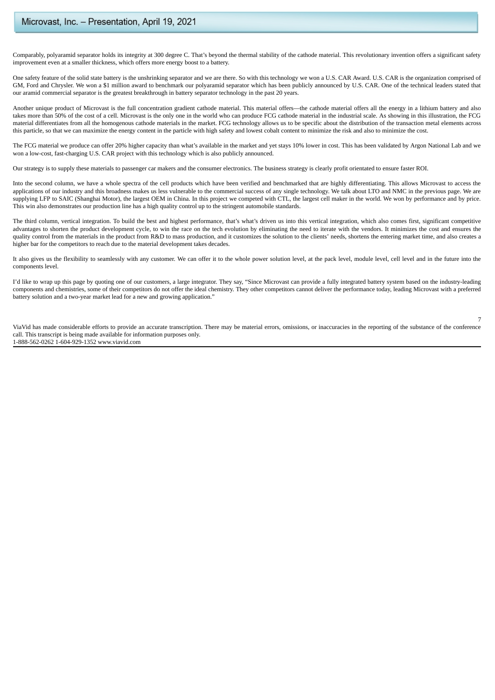Comparably, polyaramid separator holds its integrity at 300 degree C. That's beyond the thermal stability of the cathode material. This revolutionary invention offers a significant safety improvement even at a smaller thickness, which offers more energy boost to a battery.

One safety feature of the solid state battery is the unshrinking separator and we are there. So with this technology we won a U.S. CAR Award. U.S. CAR is the organization comprised of GM, Ford and Chrysler. We won a \$1 million award to benchmark our polyaramid separator which has been publicly announced by U.S. CAR. One of the technical leaders stated that our aramid commercial separator is the greatest breakthrough in battery separator technology in the past 20 years.

Another unique product of Microvast is the full concentration gradient cathode material. This material offers—the cathode material offers all the energy in a lithium battery and also takes more than 50% of the cost of a cell. Microvast is the only one in the world who can produce FCG cathode material in the industrial scale. As showing in this illustration, the FCG material differentiates from all the homogenous cathode materials in the market. FCG technology allows us to be specific about the distribution of the transaction metal elements across this particle, so that we can maximize the energy content in the particle with high safety and lowest cobalt content to minimize the risk and also to minimize the cost.

The FCG material we produce can offer 20% higher capacity than what's available in the market and yet stays 10% lower in cost. This has been validated by Argon National Lab and we won a low-cost, fast-charging U.S. CAR project with this technology which is also publicly announced.

Our strategy is to supply these materials to passenger car makers and the consumer electronics. The business strategy is clearly profit orientated to ensure faster ROI.

Into the second column, we have a whole spectra of the cell products which have been verified and benchmarked that are highly differentiating. This allows Microvast to access the applications of our industry and this broadness makes us less vulnerable to the commercial success of any single technology. We talk about LTO and NMC in the previous page. We are supplying LFP to SAIC (Shanghai Motor), the largest OEM in China. In this project we competed with CTL, the largest cell maker in the world. We won by performance and by price. This win also demonstrates our production line has a high quality control up to the stringent automobile standards.

The third column, vertical integration. To build the best and highest performance, that's what's driven us into this vertical integration, which also comes first, significant competitive advantages to shorten the product development cycle, to win the race on the tech evolution by eliminating the need to iterate with the vendors. It minimizes the cost and ensures the quality control from the materials in the product from R&D to mass production, and it customizes the solution to the clients' needs, shortens the entering market time, and also creates a higher bar for the competitors to reach due to the material development takes decades.

It also gives us the flexibility to seamlessly with any customer. We can offer it to the whole power solution level, at the pack level, module level, cell level and in the future into the components level.

I'd like to wrap up this page by quoting one of our customers, a large integrator. They say, "Since Microvast can provide a fully integrated battery system based on the industry-leading components and chemistries, some of their competitors do not offer the ideal chemistry. They other competitors cannot deliver the performance today, leading Microvast with a preferred battery solution and a two-year market lead for a new and growing application."

ViaVid has made considerable efforts to provide an accurate transcription. There may be material errors, omissions, or inaccuracies in the reporting of the substance of the conference call. This transcript is being made available for information purposes only. 1-888-562-0262 1-604-929-1352 www.viavid.com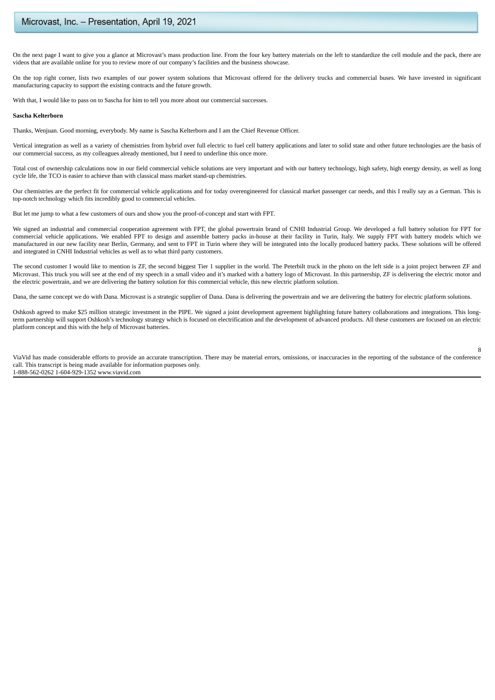On the next page I want to give you a glance at Microvast's mass production line. From the four key battery materials on the left to standardize the cell module and the pack, there are videos that are available online for you to review more of our company's facilities and the business showcase.

On the top right corner, lists two examples of our power system solutions that Microvast offered for the delivery trucks and commercial buses. We have invested in significant manufacturing capacity to support the existing contracts and the future growth.

With that, I would like to pass on to Sascha for him to tell you more about our commercial successes.

#### **Sascha Kelterborn**

Thanks, Wenjuan. Good morning, everybody. My name is Sascha Kelterborn and I am the Chief Revenue Officer.

Vertical integration as well as a variety of chemistries from hybrid over full electric to fuel cell battery applications and later to solid state and other future technologies are the basis of our commercial success, as my colleagues already mentioned, but I need to underline this once more.

Total cost of ownership calculations now in our field commercial vehicle solutions are very important and with our battery technology, high safety, high energy density, as well as long cycle life, the TCO is easier to achieve than with classical mass market stand-up chemistries.

Our chemistries are the perfect fit for commercial vehicle applications and for today overengineered for classical market passenger car needs, and this I really say as a German. This is top-notch technology which fits incredibly good to commercial vehicles.

But let me jump to what a few customers of ours and show you the proof-of-concept and start with FPT.

We signed an industrial and commercial cooperation agreement with FPT, the global powertrain brand of CNHI Industrial Group. We developed a full battery solution for FPT for commercial vehicle applications. We enabled FPT to design and assemble battery packs in-house at their facility in Turin, Italy. We supply FPT with battery models which we manufactured in our new facility near Berlin, Germany, and sent to FPT in Turin where they will be integrated into the locally produced battery packs. These solutions will be offered and integrated in CNHI Industrial vehicles as well as to what third party customers.

The second customer I would like to mention is ZF, the second biggest Tier 1 supplier in the world. The Peterbilt truck in the photo on the left side is a joint project between ZF and Microvast. This truck you will see at the end of my speech in a small video and it's marked with a battery logo of Microvast. In this partnership, ZF is delivering the electric motor and the electric powertrain, and we are delivering the battery solution for this commercial vehicle, this new electric platform solution.

Dana, the same concept we do with Dana. Microvast is a strategic supplier of Dana. Dana is delivering the powertrain and we are delivering the battery for electric platform solutions.

Oshkosh agreed to make \$25 million strategic investment in the PIPE. We signed a joint development agreement highlighting future battery collaborations and integrations. This longterm partnership will support Oshkosh's technology strategy which is focused on electrification and the development of advanced products. All these customers are focused on an electric platform concept and this with the help of Microvast batteries.

ViaVid has made considerable efforts to provide an accurate transcription. There may be material errors, omissions, or inaccuracies in the reporting of the substance of the conference call. This transcript is being made available for information purposes only. 1-888-562-0262 1-604-929-1352 www.viavid.com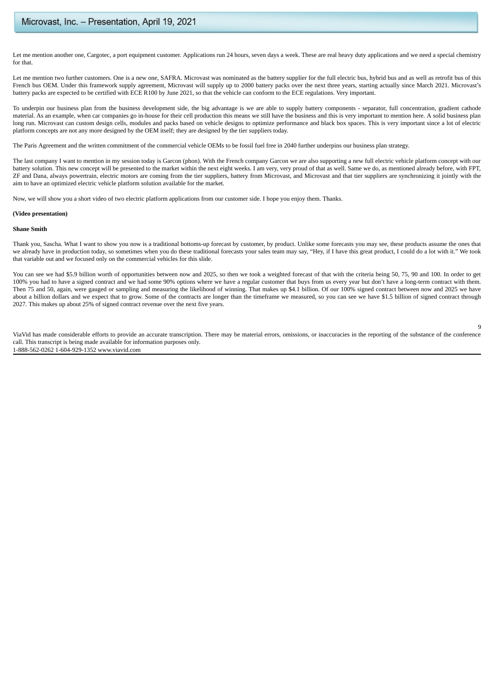Let me mention another one, Cargotec, a port equipment customer. Applications run 24 hours, seven days a week. These are real heavy duty applications and we need a special chemistry for that.

Let me mention two further customers. One is a new one, SAFRA. Microvast was nominated as the battery supplier for the full electric bus, hybrid bus and as well as retrofit bus of this French bus OEM. Under this framework supply agreement, Microvast will supply up to 2000 battery packs over the next three years, starting actually since March 2021. Microvast's battery packs are expected to be certified with ECE R100 by June 2021, so that the vehicle can conform to the ECE regulations. Very important.

To underpin our business plan from the business development side, the big advantage is we are able to supply battery components - separator, full concentration, gradient cathode material. As an example, when car companies go in-house for their cell production this means we still have the business and this is very important to mention here. A solid business plan long run. Microvast can custom design cells, modules and packs based on vehicle designs to optimize performance and black box spaces. This is very important since a lot of electric platform concepts are not any more designed by the OEM itself; they are designed by the tier suppliers today.

The Paris Agreement and the written commitment of the commercial vehicle OEMs to be fossil fuel free in 2040 further underpins our business plan strategy.

The last company I want to mention in my session today is Garcon (phon). With the French company Garcon we are also supporting a new full electric vehicle platform concept with our battery solution. This new concept will be presented to the market within the next eight weeks. I am very, very proud of that as well. Same we do, as mentioned already before, with FPT, ZF and Dana, always powertrain, electric motors are coming from the tier suppliers, battery from Microvast, and Microvast and that tier suppliers are synchronizing it jointly with the aim to have an optimized electric vehicle platform solution available for the market.

Now, we will show you a short video of two electric platform applications from our customer side. I hope you enjoy them. Thanks.

### **(Video presentation)**

# **Shane Smith**

Thank you, Sascha. What I want to show you now is a traditional bottoms-up forecast by customer, by product. Unlike some forecasts you may see, these products assume the ones that we already have in production today, so sometimes when you do these traditional forecasts your sales team may say, "Hey, if I have this great product, I could do a lot with it." We took that variable out and we focused only on the commercial vehicles for this slide.

You can see we had \$5.9 billion worth of opportunities between now and 2025, so then we took a weighted forecast of that with the criteria being 50, 75, 90 and 100. In order to get 100% you had to have a signed contract and we had some 90% options where we have a regular customer that buys from us every year but don't have a long-term contract with them. Then 75 and 50, again, were gauged or sampling and measuring the likelihood of winning. That makes up \$4.1 billion. Of our 100% signed contract between now and 2025 we have about a billion dollars and we expect that to grow. Some of the contracts are longer than the timeframe we measured, so you can see we have \$1.5 billion of signed contract through 2027. This makes up about 25% of signed contract revenue over the next five years.

9

ViaVid has made considerable efforts to provide an accurate transcription. There may be material errors, omissions, or inaccuracies in the reporting of the substance of the conference call. This transcript is being made available for information purposes only. 1-888-562-0262 1-604-929-1352 www.viavid.com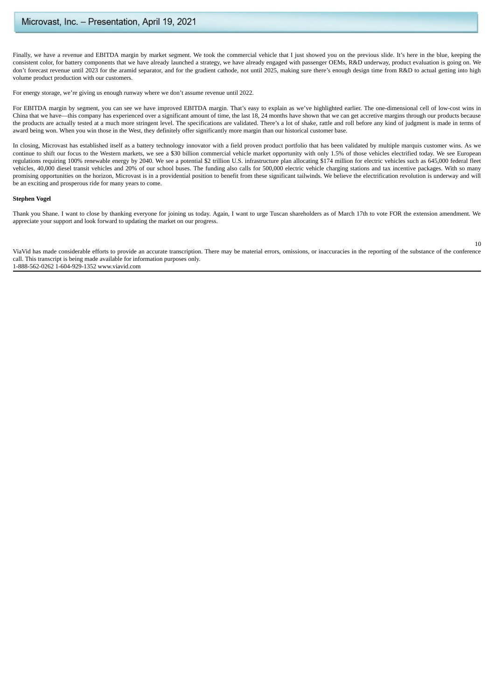Finally, we have a revenue and EBITDA margin by market segment. We took the commercial vehicle that I just showed you on the previous slide. It's here in the blue, keeping the consistent color, for battery components that we have already launched a strategy, we have already engaged with passenger OEMs, R&D underway, product evaluation is going on. We don't forecast revenue until 2023 for the aramid separator, and for the gradient cathode, not until 2025, making sure there's enough design time from R&D to actual getting into high volume product production with our customers.

For energy storage, we're giving us enough runway where we don't assume revenue until 2022.

For EBITDA margin by segment, you can see we have improved EBITDA margin. That's easy to explain as we've highlighted earlier. The one-dimensional cell of low-cost wins in China that we have—this company has experienced over a significant amount of time, the last 18, 24 months have shown that we can get accretive margins through our products because the products are actually tested at a much more stringent level. The specifications are validated. There's a lot of shake, rattle and roll before any kind of judgment is made in terms of award being won. When you win those in the West, they definitely offer significantly more margin than our historical customer base.

In closing, Microvast has established itself as a battery technology innovator with a field proven product portfolio that has been validated by multiple marquis customer wins. As we continue to shift our focus to the Western markets, we see a \$30 billion commercial vehicle market opportunity with only 1.5% of those vehicles electrified today. We see European regulations requiring 100% renewable energy by 2040. We see a potential \$2 trillion U.S. infrastructure plan allocating \$174 million for electric vehicles such as 645,000 federal fleet vehicles, 40,000 diesel transit vehicles and 20% of our school buses. The funding also calls for 500,000 electric vehicle charging stations and tax incentive packages. With so many promising opportunities on the horizon, Microvast is in a providential position to benefit from these significant tailwinds. We believe the electrification revolution is underway and will be an exciting and prosperous ride for many years to come.

## **Stephen Vogel**

Thank you Shane. I want to close by thanking everyone for joining us today. Again, I want to urge Tuscan shareholders as of March 17th to vote FOR the extension amendment. We appreciate your support and look forward to updating the market on our progress.

ViaVid has made considerable efforts to provide an accurate transcription. There may be material errors, omissions, or inaccuracies in the reporting of the substance of the conference call. This transcript is being made available for information purposes only. 1-888-562-0262 1-604-929-1352 www.viavid.com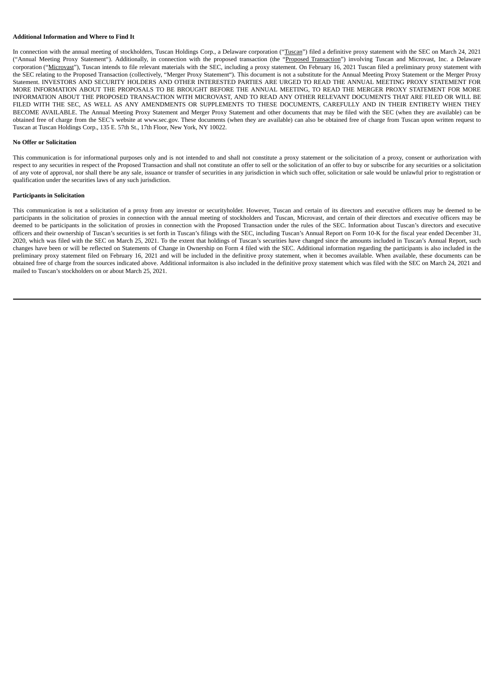#### **Additional Information and Where to Find It**

In connection with the annual meeting of stockholders, Tuscan Holdings Corp., a Delaware corporation ("Tuscan") filed a definitive proxy statement with the SEC on March 24, 2021 ("Annual Meeting Proxy Statement"). Additionally, in connection with the proposed transaction (the "Proposed Transaction") involving Tuscan and Microvast, Inc. a Delaware corporation ("Microvast"), Tuscan intends to file relevant materials with the SEC, including a proxy statement. On February 16, 2021 Tuscan filed a preliminary proxy statement with the SEC relating to the Proposed Transaction (collectively, "Merger Proxy Statement"). This document is not a substitute for the Annual Meeting Proxy Statement or the Merger Proxy Statement. INVESTORS AND SECURITY HOLDERS AND OTHER INTERESTED PARTIES ARE URGED TO READ THE ANNUAL MEETING PROXY STATEMENT FOR MORE INFORMATION ABOUT THE PROPOSALS TO BE BROUGHT BEFORE THE ANNUAL MEETING, TO READ THE MERGER PROXY STATEMENT FOR MORE INFORMATION ABOUT THE PROPOSED TRANSACTION WITH MICROVAST, AND TO READ ANY OTHER RELEVANT DOCUMENTS THAT ARE FILED OR WILL BE FILED WITH THE SEC, AS WELL AS ANY AMENDMENTS OR SUPPLEMENTS TO THESE DOCUMENTS, CAREFULLY AND IN THEIR ENTIRETY WHEN THEY BECOME AVAILABLE. The Annual Meeting Proxy Statement and Merger Proxy Statement and other documents that may be filed with the SEC (when they are available) can be obtained free of charge from the SEC's website at www.sec.gov. These documents (when they are available) can also be obtained free of charge from Tuscan upon written request to Tuscan at Tuscan Holdings Corp., 135 E. 57th St., 17th Floor, New York, NY 10022.

### **No Offer or Solicitation**

This communication is for informational purposes only and is not intended to and shall not constitute a proxy statement or the solicitation of a proxy, consent or authorization with respect to any securities in respect of the Proposed Transaction and shall not constitute an offer to sell or the solicitation of an offer to buy or subscribe for any securities or a solicitation of any vote of approval, nor shall there be any sale, issuance or transfer of securities in any jurisdiction in which such offer, solicitation or sale would be unlawful prior to registration or qualification under the securities laws of any such jurisdiction.

## **Participants in Solicitation**

This communication is not a solicitation of a proxy from any investor or securityholder. However, Tuscan and certain of its directors and executive officers may be deemed to be participants in the solicitation of proxies in connection with the annual meeting of stockholders and Tuscan, Microvast, and certain of their directors and executive officers may be deemed to be participants in the solicitation of proxies in connection with the Proposed Transaction under the rules of the SEC. Information about Tuscan's directors and executive officers and their ownership of Tuscan's securities is set forth in Tuscan's filings with the SEC, including Tuscan's Annual Report on Form 10-K for the fiscal year ended December 31, 2020, which was filed with the SEC on March 25, 2021. To the extent that holdings of Tuscan's securities have changed since the amounts included in Tuscan's Annual Report, such changes have been or will be reflected on Statements of Change in Ownership on Form 4 filed with the SEC. Additional information regarding the participants is also included in the preliminary proxy statement filed on February 16, 2021 and will be included in the definitive proxy statement, when it becomes available. When available, these documents can be obtained free of charge from the sources indicated above. Additional informaiton is also included in the definitive proxy statement which was filed with the SEC on March 24, 2021 and mailed to Tuscan's stockholders on or about March 25, 2021.